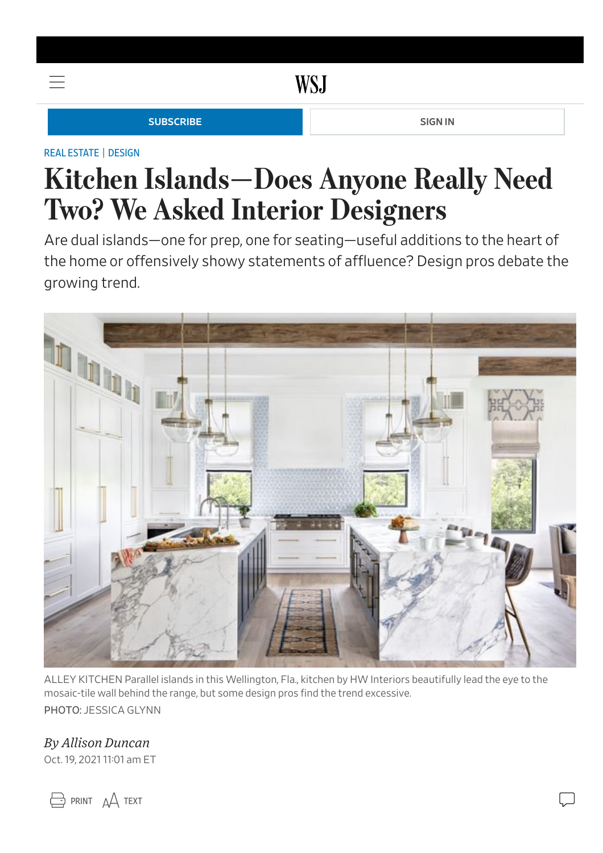### **WSJ**

#### **[SUBSCRIBE](https://subscribe.wsj.com/hpheaderlink) [SIGN](https://accounts.wsj.com/login?target=https://www.wsj.com/articles/does-anyone-need-two-kitchen-islands-we-asked-interior-designers-11634655693) IN SIGN IN**

#### REAL [ESTATE](https://www.wsj.com/news/realestate?mod=breadcrumb) | [DESIGN](https://www.wsj.com/news/types/design?mod=breadcrumb)

 $=$ 

## Kitchen Islands—Does Anyone Really Need Two? We Asked Interior Designers

Are dual islands—one for prep, one for seating—useful additions to the heart of the home or offensively showy statements of affluence? Design pros debate the growing trend.



ALLEY KITCHEN Parallel islands in this Wellington, Fla., kitchen by HW Interiors beautifully lead the eye to the mosaic-tile wall behind the range, but some design pros find the trend excessive.

PHOTO: JESSICA GLYNN

#### By Allison Duncan

Oct. 19, 2021 11:01 am ET

 $\ominus$  print  $\triangle$  text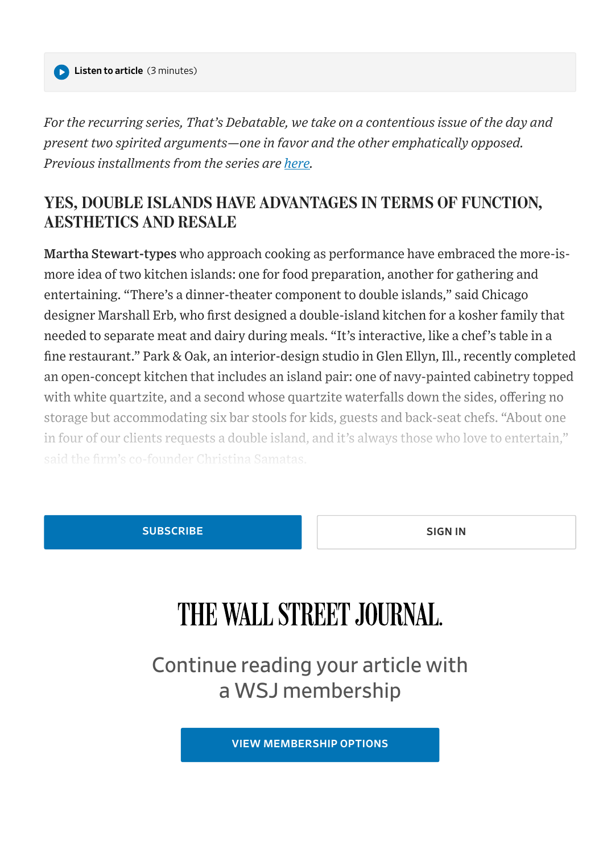For the recurring series, That's Debatable, we take on a contentious issue of the day and present two spirited arguments—one in favor and the other emphatically opposed. Previous installments from the series are [here.](https://www.wsj.com/news/types/that-s-debatable)

#### YES, DOUBLE ISLANDS HAVE ADVANTAGES IN TERMS OF FUNCTION, AESTHETICS AND RESALE

Martha Stewart-types who approach cooking as performance have embraced the more-ismore idea of two kitchen islands: one for food preparation, another for gathering and entertaining. "There's a dinner-theater component to double islands," said Chicago designer Marshall Erb, who first designed a double-island kitchen for a kosher family that needed to separate meat and dairy during meals. "It's interactive, like a chef's table in a fine restaurant." Park & Oak, an interior-design studio in Glen Ellyn, Ill., recently completed an open-concept kitchen that includes an island pair: one of navy-painted cabinetry topped with white quartzite, and a second whose quartzite waterfalls down the sides, offering no storage but accommodating six bar stools for kids, guests and back-seat chefs. "About one in four of our clients requests a double island, and it's always those who love to entertain," said the firm's co-founder Christina Samatas.

[SUBSCRIBE](https://subscribe.wsj.com/wsjsnippet) SUBSCRIBE [SIGN](https://accounts.wsj.com/login?target=https://www.wsj.com/articles/does-anyone-need-two-kitchen-islands-we-asked-interior-designers-11634655693) IN

# THE WALL STREET JOURNAL.

Continue reading your article with a WSJ membership

VIEW [MEMBERSHIP](https://subscribe.wsj.com/wsjsnippet) OPTIONS